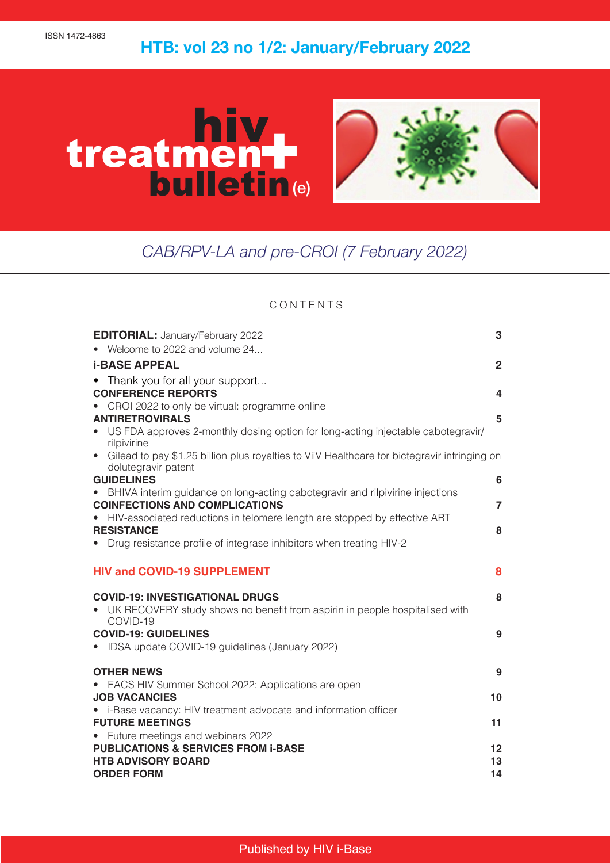# $\frac{1}{2}$ **HTB: vol 23 no 1/2: January/February 2022**



## *CAB/RPV-LA and pre-CROI (7 February 2022)*

### **CONTENTS**

| <b>EDITORIAL: January/February 2022</b><br>• Welcome to 2022 and volume 24                                             | 3              |
|------------------------------------------------------------------------------------------------------------------------|----------------|
|                                                                                                                        |                |
| <b>i-BASE APPEAL</b>                                                                                                   | $\overline{2}$ |
| Thank you for all your support                                                                                         |                |
| <b>CONFERENCE REPORTS</b>                                                                                              | 4              |
| CROI 2022 to only be virtual: programme online                                                                         |                |
| <b>ANTIRETROVIRALS</b>                                                                                                 | 5              |
| US FDA approves 2-monthly dosing option for long-acting injectable cabotegravir/<br>rilpivirine                        |                |
| • Gilead to pay \$1.25 billion plus royalties to ViiV Healthcare for bictegravir infringing on<br>dolutegravir patent  |                |
| <b>GUIDELINES</b>                                                                                                      | 6              |
| BHIVA interim guidance on long-acting cabotegravir and rilpivirine injections<br><b>COINFECTIONS AND COMPLICATIONS</b> | $\overline{7}$ |
| HIV-associated reductions in telomere length are stopped by effective ART                                              |                |
| <b>RESISTANCE</b>                                                                                                      | 8              |
| Drug resistance profile of integrase inhibitors when treating HIV-2                                                    |                |
| <b>HIV and COVID-19 SUPPLEMENT</b>                                                                                     | 8              |
| <b>COVID-19: INVESTIGATIONAL DRUGS</b>                                                                                 | 8              |
| • UK RECOVERY study shows no benefit from aspirin in people hospitalised with<br>COVID-19                              |                |
| <b>COVID-19: GUIDELINES</b>                                                                                            | 9              |
| • IDSA update COVID-19 guidelines (January 2022)                                                                       |                |
| <b>OTHER NEWS</b>                                                                                                      | 9              |
| EACS HIV Summer School 2022: Applications are open                                                                     |                |
| <b>JOB VACANCIES</b>                                                                                                   | 10             |
| • i-Base vacancy: HIV treatment advocate and information officer                                                       |                |
| <b>FUTURE MEETINGS</b>                                                                                                 | 11             |
| • Future meetings and webinars 2022                                                                                    |                |
| <b>PUBLICATIONS &amp; SERVICES FROM i-BASE</b>                                                                         | 12             |
| <b>HTB ADVISORY BOARD</b>                                                                                              | 13             |
| <b>ORDER FORM</b>                                                                                                      | 14             |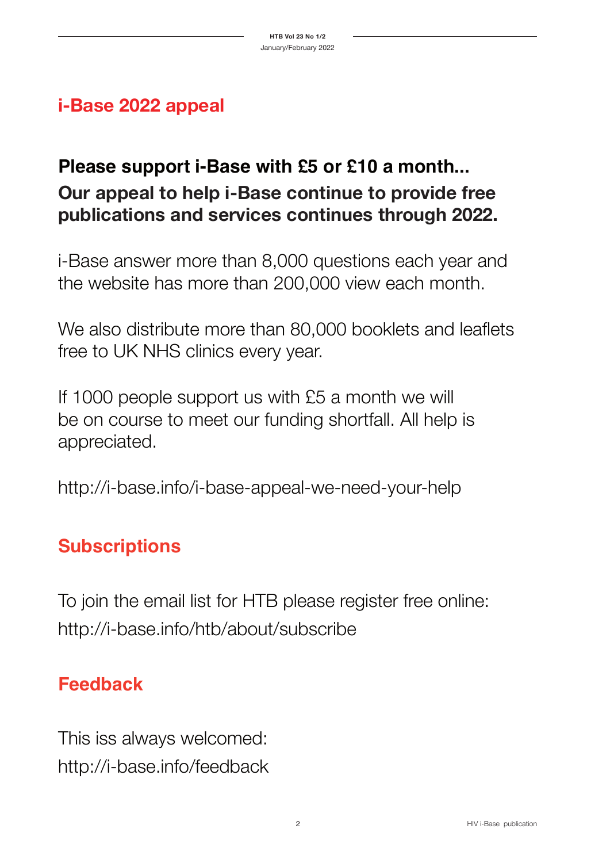## **i-Base 2022 appeal**

## **Please support i-Base with £5 or £10 a month... Our appeal to help i-Base continue to provide free publications and services continues through 2022.**

i-Base answer more than 8,000 questions each year and the website has more than 200,000 view each month.

We also distribute more than 80,000 booklets and leaflets free to UK NHS clinics every year.

If 1000 people support us with £5 a month we will be on course to meet our funding shortfall. All help is appreciated.

http://i-base.info/i-base-appeal-we-need-your-help

## **Subscriptions**

To join the email list for HTB please register free online: http://i-base.info/htb/about/subscribe

## **Feedback**

This iss always welcomed: http://i-base.info/feedback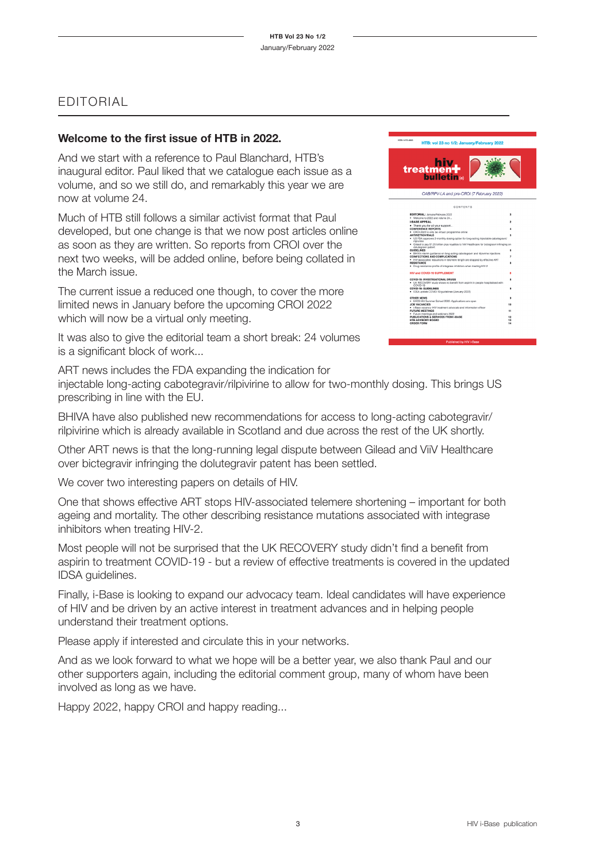## EDITORIAL

## **Welcome to the first issue of HTB in 2022.**

And we start with a reference to Paul Blanchard, HTB's inaugural editor. Paul liked that we catalogue each issue as a volume, and so we still do, and remarkably this year we are now at volume 24.

Much of HTB still follows a similar activist format that Paul developed, but one change is that we now post articles online as soon as they are written. So reports from CROI over the next two weeks, will be added online, before being collated in the March issue.

The current issue a reduced one though, to cover the more limited news in January before the upcoming CROI 2022 which will now be a virtual only meeting.

It was also to give the editorial team a short break: 24 volumes is a significant block of work...



ART news includes the FDA expanding the indication for

injectable long-acting cabotegravir/rilpivirine to allow for two-monthly dosing. This brings US prescribing in line with the EU.

BHIVA have also published new recommendations for access to long-acting cabotegravir/ rilpivirine which is already available in Scotland and due across the rest of the UK shortly.

Other ART news is that the long-running legal dispute between Gilead and ViiV Healthcare over bictegravir infringing the dolutegravir patent has been settled.

We cover two interesting papers on details of HIV.

One that shows effective ART stops HIV-associated telemere shortening – important for both ageing and mortality. The other describing resistance mutations associated with integrase inhibitors when treating HIV-2.

Most people will not be surprised that the UK RECOVERY study didn't find a benefit from aspirin to treatment COVID-19 - but a review of effective treatments is covered in the updated IDSA guidelines.

Finally, i-Base is looking to expand our advocacy team. Ideal candidates will have experience of HIV and be driven by an active interest in treatment advances and in helping people understand their treatment options.

Please apply if interested and circulate this in your networks.

And as we look forward to what we hope will be a better year, we also thank Paul and our other supporters again, including the editorial comment group, many of whom have been involved as long as we have.

Happy 2022, happy CROI and happy reading...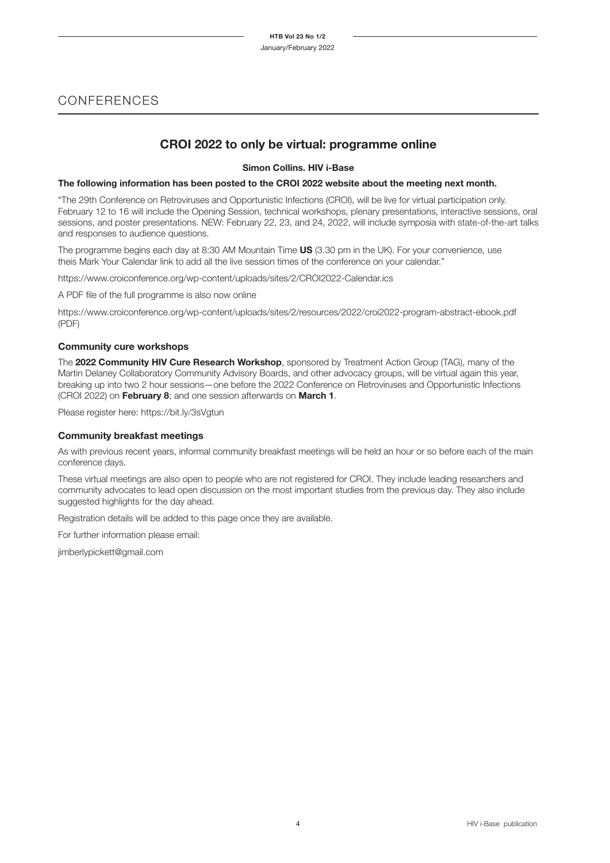## CONFERENCES

## **CROI 2022 to only be virtual: programme online**

**Simon Collins. HIV i-Base**

#### **The following information has been posted to the CROI 2022 website about the meeting next month.**

"The 29th Conference on Retroviruses and Opportunistic Infections (CROI), will be live for virtual participation only. February 12 to 16 will include the Opening Session, technical workshops, plenary presentations, interactive sessions, oral sessions, and poster presentations. NEW: February 22, 23, and 24, 2022, will include symposia with state-of-the-art talks and responses to audience questions.

The programme begins each day at 8:30 AM Mountain Time **US** (3.30 pm in the UK). For your convenience, use theis Mark Your Calendar link to add all the live session times of the conference on your calendar."

https://www.croiconference.org/wp-content/uploads/sites/2/CROI2022-Calendar.ics

A PDF file of the full programme is also now online

https://www.croiconference.org/wp-content/uploads/sites/2/resources/2022/croi2022-program-abstract-ebook.pdf (PDF)

#### **Community cure workshops**

The **2022 Community HIV Cure Research Workshop**, sponsored by Treatment Action Group (TAG), many of the Martin Delaney Collaboratory Community Advisory Boards, and other advocacy groups, will be virtual again this year, breaking up into two 2 hour sessions—one before the 2022 Conference on Retroviruses and Opportunistic Infections (CROI 2022) on **February 8**; and one session afterwards on **March 1**.

Please register here: https://bit.ly/3sVgtun

#### **Community breakfast meetings**

As with previous recent years, informal community breakfast meetings will be held an hour or so before each of the main conference days.

These virtual meetings are also open to people who are not registered for CROI. They include leading researchers and community advocates to lead open discussion on the most important studies from the previous day. They also include suggested highlights for the day ahead.

Registration details will be added to this page once they are available.

For further information please email:

jimberlypickett@gmail.com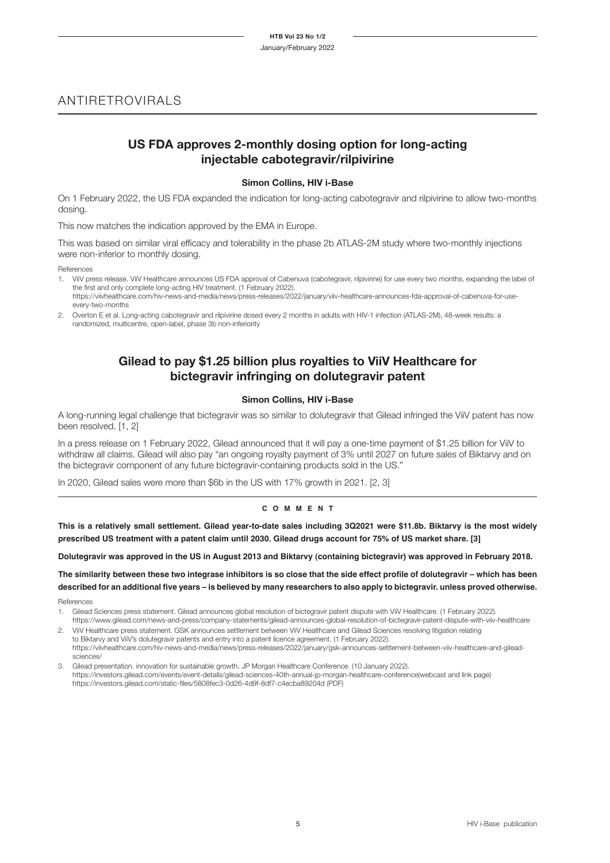## ANTIRETROVIRALS

## **US FDA approves 2-monthly dosing option for long-acting injectable cabotegravir/rilpivirine**

#### **Simon Collins, HIV i-Base**

On 1 February 2022, the US FDA expanded the indication for long-acting cabotegravir and rilpivirine to allow two-months dosing.

This now matches the indication approved by the EMA in Europe.

This was based on similar viral efficacy and tolerability in the phase 2b ATLAS-2M study where two-monthly injections were non-inferior to monthly dosing.

References

- 1. ViiV press release. ViiV Healthcare announces US FDA approval of Cabenuva (cabotegravir, rilpivirine) for use every two months, expanding the label of the first and only complete long-acting HIV treatment. (1 February 2022). https://viivhealthcare.com/hiv-news-and-media/news/press-releases/2022/january/viiv-healthcare-announces-fda-approval-of-cabenuva-for-use-
- every-two-months
- 2. Overton E et al. Long-acting cabotegravir and rilpivirine dosed every 2 months in adults with HIV-1 infection (ATLAS-2M), 48-week results: a randomized, multicentre, open-label, phase 3b non-inferiority

## **Gilead to pay \$1.25 billion plus royalties to ViiV Healthcare for bictegravir infringing on dolutegravir patent**

#### **Simon Collins, HIV i-Base**

A long-running legal challenge that bictegravir was so similar to dolutegravir that Gilead infringed the ViiV patent has now been resolved. [1, 2]

In a press release on 1 February 2022, Gilead announced that it will pay a one-time payment of \$1.25 billion for ViiV to withdraw all claims. Gilead will also pay "an ongoing royalty payment of 3% until 2027 on future sales of Biktarvy and on the bictegravir component of any future bictegravir-containing products sold in the US."

In 2020, Gilead sales were more than \$6b in the US with 17% growth in 2021. [2, 3]

#### **c o m m e n t**

**This is a relatively small settlement. Gilead year-to-date sales including 3Q2021 were \$11.8b. Biktarvy is the most widely prescribed US treatment with a patent claim until 2030. Gilead drugs account for 75% of US market share. [3]**

**Dolutegravir was approved in the US in August 2013 and Biktarvy (containing bictegravir) was approved in February 2018.**

**The similarity between these two integrase inhibitors is so close that the side effect profile of dolutegravir – which has been described for an additional five years – is believed by many researchers to also apply to bictegravir. unless proved otherwise.**

References

- 1. Gilead Sciences press statement. Gilead announces global resolution of bictegravir patent dispute with ViiV Healthcare. (1 February 2022). https://www.gilead.com/news-and-press/company-statements/gilead-announces-global-resolution-of-bictegravir-patent-dispute-with-viiv-healthcare
- 2. ViiV Healthcare press statement. GSK announces settlement between ViiV Healthcare and Gilead Sciences resolving litigation relating to Biktarvy and ViiV's dolutegravir patents and entry into a patent licence agreement. (1 February 2022). https://viivhealthcare.com/hiv-news-and-media/news/press-releases/2022/january/gsk-announces-settlement-between-viiv-healthcare-and-gileadsciences/
- 3. Gilead presentation. innovation for sustainable growth. JP Morgan Healthcare Conference. (10 January 2022). https://investors.gilead.com/events/event-details/gilead-sciences-40th-annual-jp-morgan-healthcare-conference(webcast and link page) https://investors.gilead.com/static-files/5808fec3-0d26-4d9f-8df7-c4ecba89204d (PDF)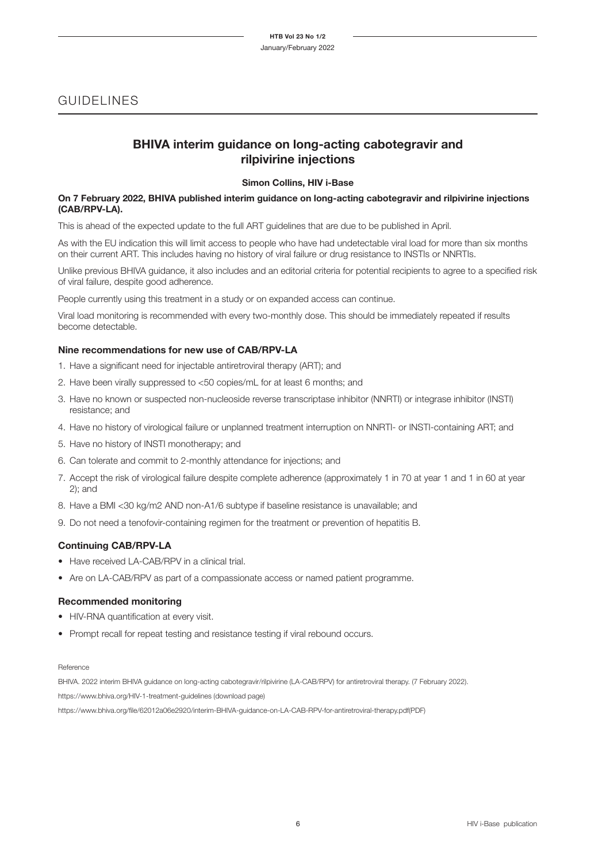## GUIDELINES

### **BHIVA interim guidance on long-acting cabotegravir and rilpivirine injections**

#### **Simon Collins, HIV i-Base**

#### **On 7 February 2022, BHIVA published interim guidance on long-acting cabotegravir and rilpivirine injections (CAB/RPV-LA).**

This is ahead of the expected update to the full ART guidelines that are due to be published in April.

As with the EU indication this will limit access to people who have had undetectable viral load for more than six months on their current ART. This includes having no history of viral failure or drug resistance to INSTIs or NNRTIs.

Unlike previous BHIVA guidance, it also includes and an editorial criteria for potential recipients to agree to a specified risk of viral failure, despite good adherence.

People currently using this treatment in a study or on expanded access can continue.

Viral load monitoring is recommended with every two-monthly dose. This should be immediately repeated if results become detectable.

#### **Nine recommendations for new use of CAB/RPV-LA**

- 1. Have a significant need for injectable antiretroviral therapy (ART); and
- 2. Have been virally suppressed to <50 copies/mL for at least 6 months; and
- 3. Have no known or suspected non-nucleoside reverse transcriptase inhibitor (NNRTI) or integrase inhibitor (INSTI) resistance; and
- 4. Have no history of virological failure or unplanned treatment interruption on NNRTI- or INSTI-containing ART; and
- 5. Have no history of INSTI monotherapy; and
- 6. Can tolerate and commit to 2-monthly attendance for injections; and
- 7. Accept the risk of virological failure despite complete adherence (approximately 1 in 70 at year 1 and 1 in 60 at year 2); and
- 8. Have a BMI <30 kg/m2 AND non-A1/6 subtype if baseline resistance is unavailable; and
- 9. Do not need a tenofovir-containing regimen for the treatment or prevention of hepatitis B.

#### **Continuing CAB/RPV-LA**

- Have received LA-CAB/RPV in a clinical trial.
- Are on LA-CAB/RPV as part of a compassionate access or named patient programme.

#### **Recommended monitoring**

- HIV-RNA quantification at every visit.
- Prompt recall for repeat testing and resistance testing if viral rebound occurs.

#### Reference

BHIVA. 2022 interim BHIVA guidance on long-acting cabotegravir/rilpivirine (LA-CAB/RPV) for antiretroviral therapy. (7 February 2022). https://www.bhiva.org/HIV-1-treatment-guidelines (download page) https://www.bhiva.org/file/62012a06e2920/interim-BHIVA-guidance-on-LA-CAB-RPV-for-antiretroviral-therapy.pdf(PDF)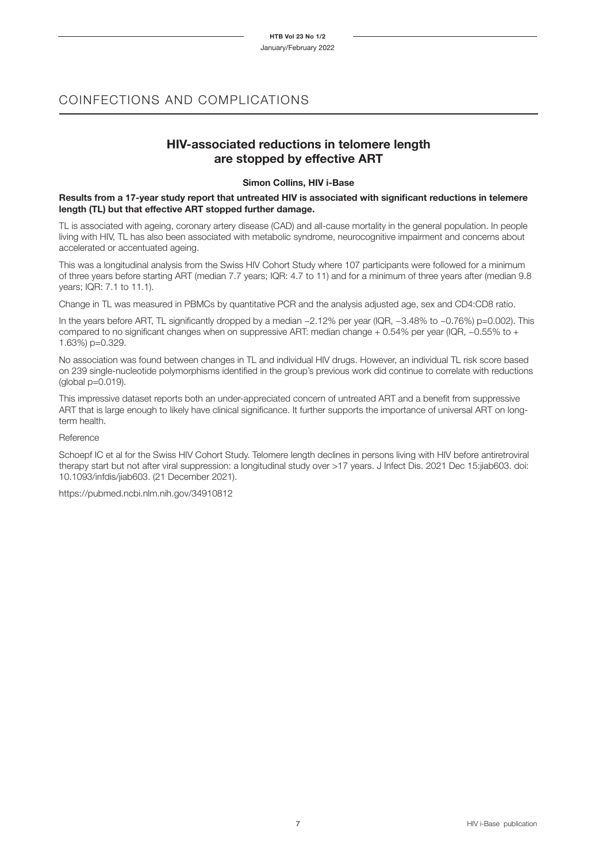## COINFECTIONS AND COMPLICATIONS

### **HIV-associated reductions in telomere length are stopped by effective ART**

#### **Simon Collins, HIV i-Base**

#### **Results from a 17-year study report that untreated HIV is associated with significant reductions in telemere length (TL) but that effective ART stopped further damage.**

TL is associated with ageing, coronary artery disease (CAD) and all-cause mortality in the general population. In people living with HIV, TL has also been associated with metabolic syndrome, neurocognitive impairment and concerns about accelerated or accentuated ageing.

This was a longitudinal analysis from the Swiss HIV Cohort Study where 107 participants were followed for a minimum of three years before starting ART (median 7.7 years; IQR: 4.7 to 11) and for a minimum of three years after (median 9.8 years; IQR: 7.1 to 11.1).

Change in TL was measured in PBMCs by quantitative PCR and the analysis adjusted age, sex and CD4:CD8 ratio.

In the years before ART, TL significantly dropped by a median −2.12% per year (IQR, −3.48% to −0.76%) p=0.002). This compared to no significant changes when on suppressive ART: median change + 0.54% per year (IQR, −0.55% to + 1.63%) p=0.329.

No association was found between changes in TL and individual HIV drugs. However, an individual TL risk score based on 239 single-nucleotide polymorphisms identified in the group's previous work did continue to correlate with reductions  $(global p=0.019)$ .

This impressive dataset reports both an under-appreciated concern of untreated ART and a benefit from suppressive ART that is large enough to likely have clinical significance. It further supports the importance of universal ART on longterm health.

#### **Reference**

Schoepf IC et al for the Swiss HIV Cohort Study. Telomere length declines in persons living with HIV before antiretroviral therapy start but not after viral suppression: a longitudinal study over >17 years. J Infect Dis. 2021 Dec 15:jiab603. doi: 10.1093/infdis/jiab603. (21 December 2021).

https://pubmed.ncbi.nlm.nih.gov/34910812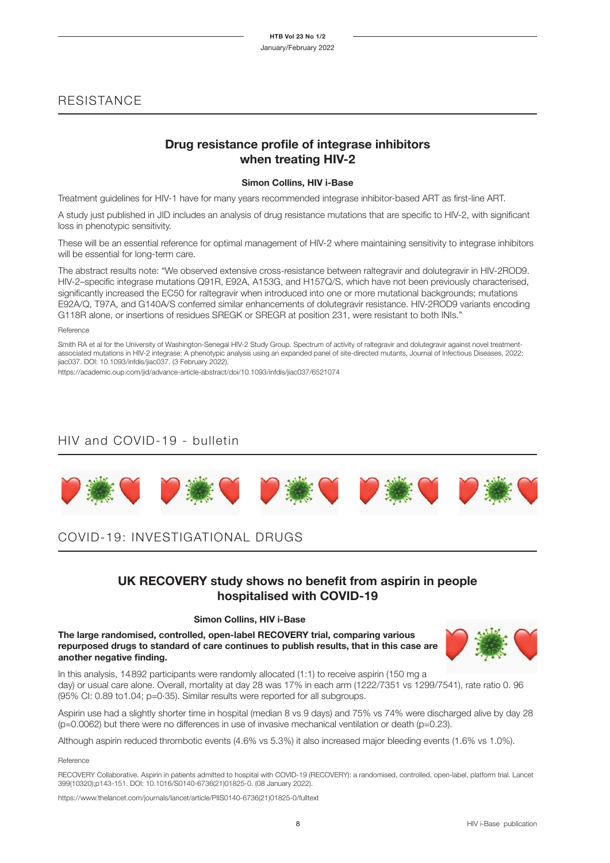## **RESISTANCE**

## **Drug resistance profile of integrase inhibitors when treating HIV-2**

#### **Simon Collins, HIV i-Base**

Treatment guidelines for HIV-1 have for many years recommended integrase inhibitor-based ART as first-line ART.

A study just published in JID includes an analysis of drug resistance mutations that are specific to HIV-2, with significant loss in phenotypic sensitivity.

These will be an essential reference for optimal management of HIV-2 where maintaining sensitivity to integrase inhibitors will be essential for long-term care.

The abstract results note: "We observed extensive cross-resistance between raltegravir and dolutegravir in HIV-2ROD9. HIV-2–specific integrase mutations Q91R, E92A, A153G, and H157Q/S, which have not been previously characterised, significantly increased the EC50 for raltegravir when introduced into one or more mutational backgrounds; mutations E92A/Q, T97A, and G140A/S conferred similar enhancements of dolutegravir resistance. HIV-2ROD9 variants encoding G118R alone, or insertions of residues SREGK or SREGR at position 231, were resistant to both INIs."

Reference

Smith RA et al for the University of Washington-Senegal HIV-2 Study Group. Spectrum of activity of raltegravir and dolutegravir against novel treatmentassociated mutations in HIV-2 integrase: A phenotypic analysis using an expanded panel of site-directed mutants, Journal of Infectious Diseases, 2022; jiac037. DOI: 10.1093/infdis/jiac037. (3 February 2022).

https://academic.oup.com/jid/advance-article-abstract/doi/10.1093/infdis/jiac037/6521074

## HIV and COVID-19 - bulletin



## COVID-19: INVESTIGATIONAL DRUGS

## **UK RECOVERY study shows no benefit from aspirin in people hospitalised with COVID-19**

#### **Simon Collins, HIV i-Base**

**The large randomised, controlled, open-label RECOVERY trial, comparing various repurposed drugs to standard of care continues to publish results, that in this case are another negative finding.**



In this analysis, 14892 participants were randomly allocated (1:1) to receive aspirin (150 mg a day) or usual care alone. Overall, mortality at day 28 was 17% in each arm (1222/7351 vs 1299/7541), rate ratio 0. 96 (95% CI: 0.89 to1.04; p=0·35). Similar results were reported for all subgroups.

Aspirin use had a slightly shorter time in hospital (median 8 vs 9 days) and 75% vs 74% were discharged alive by day 28  $(p=0.0062)$  but there were no differences in use of invasive mechanical ventilation or death  $(p=0.23)$ .

Although aspirin reduced thrombotic events (4.6% vs 5.3%) it also increased major bleeding events (1.6% vs 1.0%).

#### Reference

RECOVERY Collaborative. Aspirin in patients admitted to hospital with COVID-19 (RECOVERY): a randomised, controlled, open-label, platform trial. Lancet 399(10320);p143-151. DOI: 10.1016/S0140-6736(21)01825-0. (08 January 2022).

https://www.thelancet.com/journals/lancet/article/PIIS0140-6736(21)01825-0/fulltext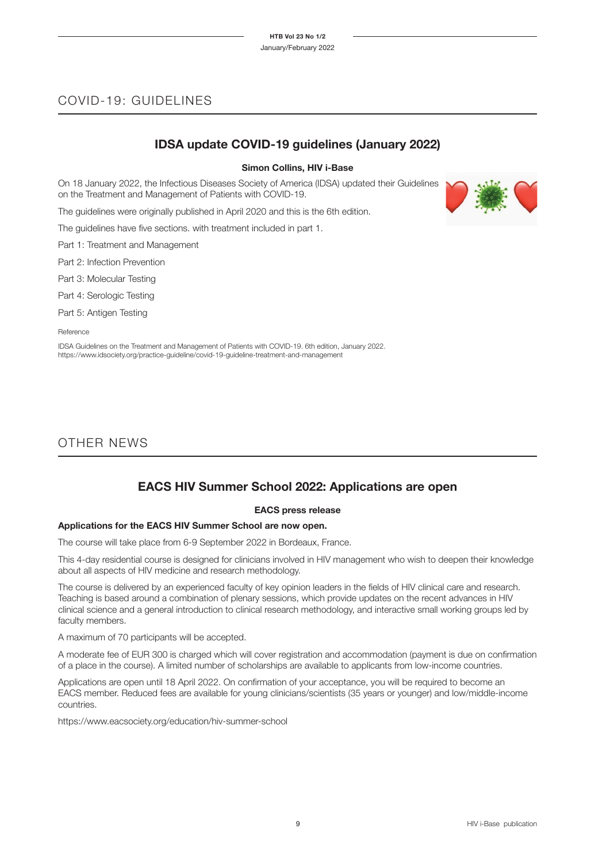## COVID-19: GUIDELINES

## **IDSA update COVID-19 guidelines (January 2022)**

#### **Simon Collins, HIV i-Base**

On 18 January 2022, the Infectious Diseases Society of America (IDSA) updated their Guidelines on the Treatment and Management of Patients with COVID-19.

The guidelines were originally published in April 2020 and this is the 6th edition.

The guidelines have five sections. with treatment included in part 1.

Part 1: Treatment and Management

Part 2: Infection Prevention

Part 3: Molecular Testing

Part 4: Serologic Testing

Part 5: Antigen Testing

Reference

IDSA Guidelines on the Treatment and Management of Patients with COVID-19. 6th edition, January 2022. https://www.idsociety.org/practice-guideline/covid-19-guideline-treatment-and-management

## OTHER NEWS

## **EACS HIV Summer School 2022: Applications are open**

#### **EACS press release**

#### **Applications for the EACS HIV Summer School are now open.**

The course will take place from 6-9 September 2022 in Bordeaux, France.

This 4-day residential course is designed for clinicians involved in HIV management who wish to deepen their knowledge about all aspects of HIV medicine and research methodology.

The course is delivered by an experienced faculty of key opinion leaders in the fields of HIV clinical care and research. Teaching is based around a combination of plenary sessions, which provide updates on the recent advances in HIV clinical science and a general introduction to clinical research methodology, and interactive small working groups led by faculty members.

A maximum of 70 participants will be accepted.

A moderate fee of EUR 300 is charged which will cover registration and accommodation (payment is due on confirmation of a place in the course). A limited number of scholarships are available to applicants from low-income countries.

Applications are open until 18 April 2022. On confirmation of your acceptance, you will be required to become an EACS member. Reduced fees are available for young clinicians/scientists (35 years or younger) and low/middle-income countries.

https://www.eacsociety.org/education/hiv-summer-school

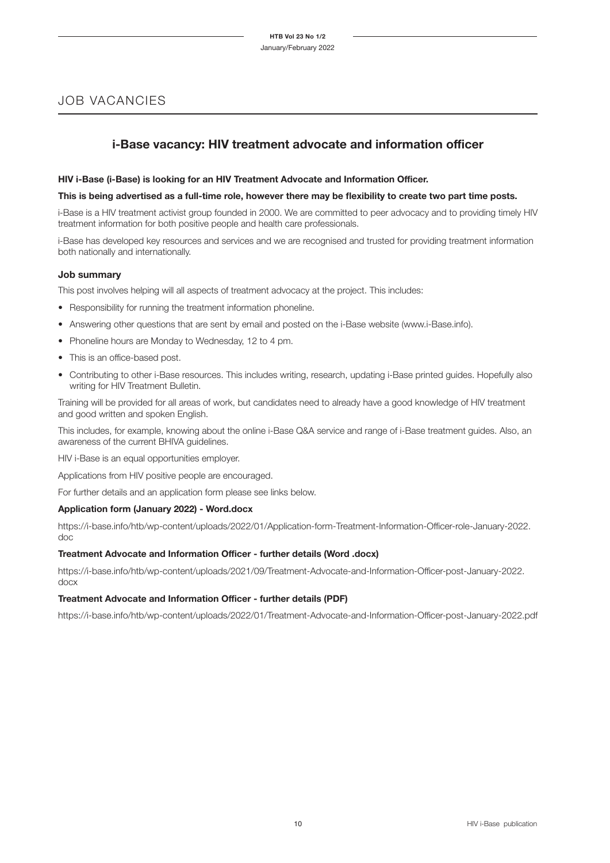## JOB VACANCIES

## **i-Base vacancy: HIV treatment advocate and information officer**

#### **HIV i-Base (i-Base) is looking for an HIV Treatment Advocate and Information Officer.**

#### **This is being advertised as a full-time role, however there may be flexibility to create two part time posts.**

i-Base is a HIV treatment activist group founded in 2000. We are committed to peer advocacy and to providing timely HIV treatment information for both positive people and health care professionals.

i-Base has developed key resources and services and we are recognised and trusted for providing treatment information both nationally and internationally.

#### **Job summary**

This post involves helping will all aspects of treatment advocacy at the project. This includes:

- Responsibility for running the treatment information phoneline.
- Answering other questions that are sent by email and posted on the i-Base website (www.i-Base.info).
- Phoneline hours are Monday to Wednesday, 12 to 4 pm.
- This is an office-based post.
- Contributing to other i-Base resources. This includes writing, research, updating i-Base printed guides. Hopefully also writing for HIV Treatment Bulletin.

Training will be provided for all areas of work, but candidates need to already have a good knowledge of HIV treatment and good written and spoken English.

This includes, for example, knowing about the online i-Base Q&A service and range of i-Base treatment guides. Also, an awareness of the current BHIVA guidelines.

HIV i-Base is an equal opportunities employer.

Applications from HIV positive people are encouraged.

For further details and an application form please see links below.

#### **Application form (January 2022) - Word.docx**

https://i-base.info/htb/wp-content/uploads/2022/01/Application-form-Treatment-Information-Officer-role-January-2022. doc

#### **Treatment Advocate and Information Officer - further details (Word .docx)**

https://i-base.info/htb/wp-content/uploads/2021/09/Treatment-Advocate-and-Information-Officer-post-January-2022. docx

#### **Treatment Advocate and Information Officer - further details (PDF)**

https://i-base.info/htb/wp-content/uploads/2022/01/Treatment-Advocate-and-Information-Officer-post-January-2022.pdf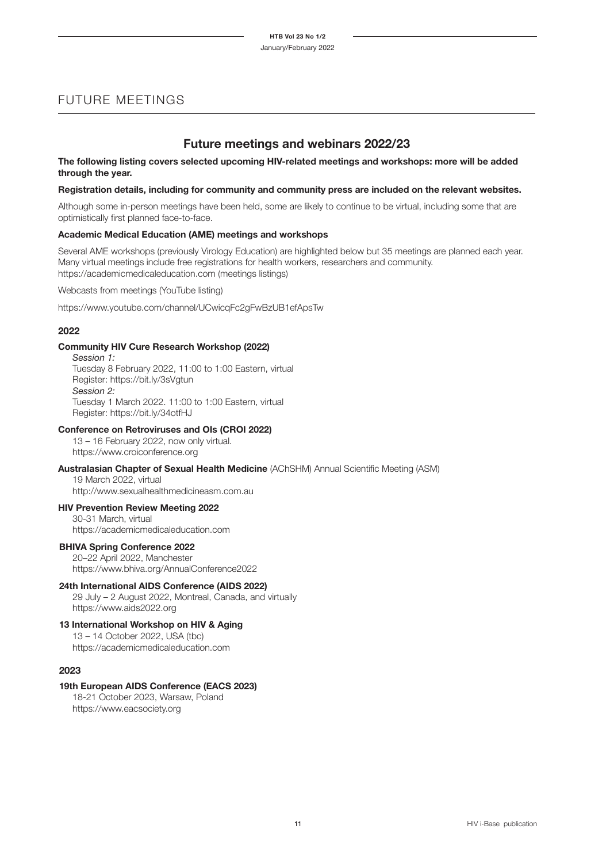## FUTURE MEETINGS

### **Future meetings and webinars 2022/23**

#### **The following listing covers selected upcoming HIV-related meetings and workshops: more will be added through the year.**

#### **Registration details, including for community and community press are included on the relevant websites.**

Although some in-person meetings have been held, some are likely to continue to be virtual, including some that are optimistically first planned face-to-face.

#### **Academic Medical Education (AME) meetings and workshops**

Several AME workshops (previously Virology Education) are highlighted below but 35 meetings are planned each year. Many virtual meetings include free registrations for health workers, researchers and community. https://academicmedicaleducation.com (meetings listings)

Webcasts from meetings (YouTube listing)

https://www.youtube.com/channel/UCwicqFc2gFwBzUB1efApsTw

#### **2022**

#### **Community HIV Cure Research Workshop (2022)**

*Session 1:* Tuesday 8 February 2022, 11:00 to 1:00 Eastern, virtual Register: https://bit.ly/3sVgtun *Session 2:* Tuesday 1 March 2022. 11:00 to 1:00 Eastern, virtual Register: https://bit.ly/34otfHJ

#### **Conference on Retroviruses and OIs (CROI 2022)**

13 – 16 February 2022, now only virtual. https://www.croiconference.org

#### **Australasian Chapter of Sexual Health Medicine** (AChSHM) Annual Scientific Meeting (ASM)

19 March 2022, virtual http://www.sexualhealthmedicineasm.com.au

#### **HIV Prevention Review Meeting 2022**

30-31 March, virtual https://academicmedicaleducation.com

#### **BHIVA Spring Conference 2022**

20–22 April 2022, Manchester https://www.bhiva.org/AnnualConference2022

#### **24th International AIDS Conference (AIDS 2022)**

29 July – 2 August 2022, Montreal, Canada, and virtually https://www.aids2022.org

#### **13 International Workshop on HIV & Aging**

13 – 14 October 2022, USA (tbc) https://academicmedicaleducation.com

#### **2023**

#### **19th European AIDS Conference (EACS 2023)**

18-21 October 2023, Warsaw, Poland https://www.eacsociety.org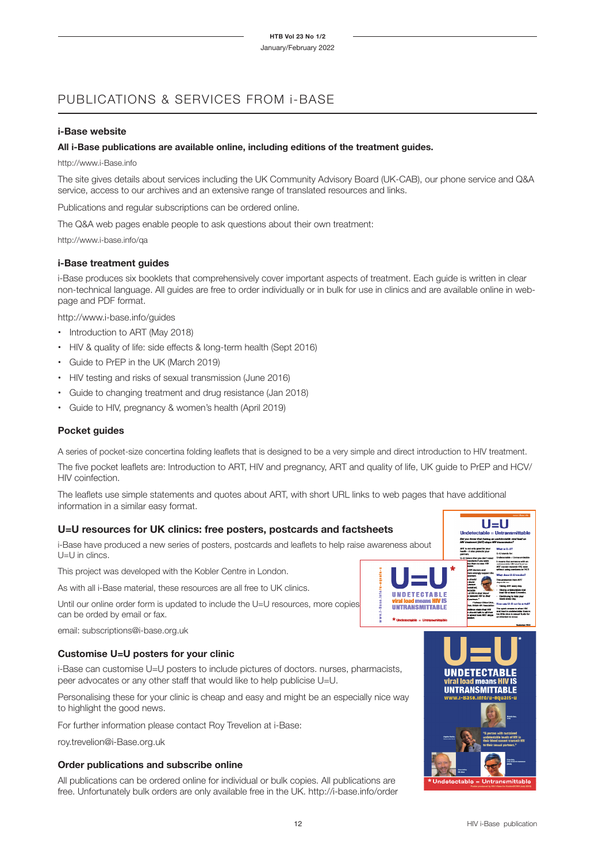## PUBLICATIONS & SERVICES FROM i-BASE

#### **i-Base website**

#### **All i-Base publications are available online, including editions of the treatment guides.**

#### http://www.i-Base.info

The site gives details about services including the UK Community Advisory Board (UK-CAB), our phone service and Q&A service, access to our archives and an extensive range of translated resources and links.

Publications and regular subscriptions can be ordered online.

The Q&A web pages enable people to ask questions about their own treatment:

http://www.i-base.info/qa

#### **i-Base treatment guides**

i-Base produces six booklets that comprehensively cover important aspects of treatment. Each guide is written in clear non-technical language. All guides are free to order individually or in bulk for use in clinics and are available online in webpage and PDF format.

http://www.i-base.info/guides

- Introduction to ART (May 2018)
- HIV & quality of life: side effects & long-term health (Sept 2016)
- Guide to PrEP in the UK (March 2019)
- HIV testing and risks of sexual transmission (June 2016)
- Guide to changing treatment and drug resistance (Jan 2018)
- Guide to HIV, pregnancy & women's health (April 2019)

#### **Pocket guides**

A series of pocket-size concertina folding leaflets that is designed to be a very simple and direct introduction to HIV treatment.

The five pocket leaflets are: Introduction to ART, HIV and pregnancy, ART and quality of life, UK guide to PrEP and HCV/ HIV coinfection.

The leaflets use simple statements and quotes about ART, with short URL links to web pages that have additional information in a similar easy format.

#### **U=U resources for UK clinics: free posters, postcards and factsheets**

i-Base have produced a new series of posters, postcards and leaflets to help raise awareness about U=U in clincs.

This project was developed with the Kobler Centre in London.

As with all i-Base material, these resources are all free to UK clinics.

Until our online order form is updated to include the U=U resources, more copies can be orded by email or fax.

email: subscriptions@i-base.org.uk

#### **Customise U=U posters for your clinic**

i-Base can customise U=U posters to include pictures of doctors. nurses, pharmacists, peer advocates or any other staff that would like to help publicise U=U.

Personalising these for your clinic is cheap and easy and might be an especially nice way to highlight the good news.

For further information please contact Roy Trevelion at i-Base:

roy.trevelion@i-Base.org.uk

#### **Order publications and subscribe online**

All publications can be ordered online for individual or bulk copies. All publications are free. Unfortunately bulk orders are only available free in the UK. http://i-base.info/order



Did you

 $U=U$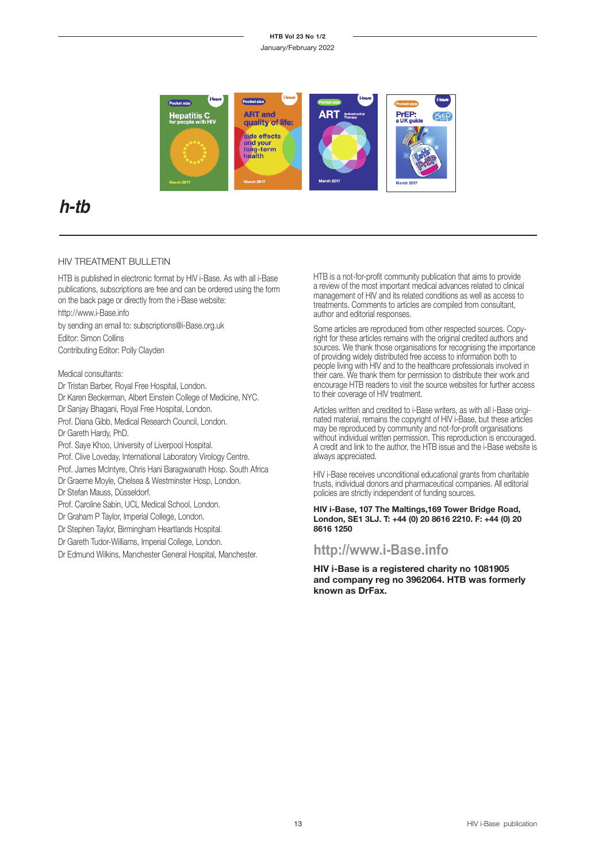#### **HTB Vol 23 No 1/2**

January/February 2022



## **h-tb**

#### HIV TREATMENT BULLETIN

HTB is published in electronic format by HIV i-Base. As with all i-Base publications, subscriptions are free and can be ordered using the form on the back page or directly from the i-Base website:

http://www.i-Base.info

by sending an email to: subscriptions@i-Base.org.uk Editor: Simon Collins Contributing Editor: Polly Clayden

Medical consultants:

Dr Tristan Barber, Royal Free Hospital, London.

Dr Karen Beckerman, Albert Einstein College of Medicine, NYC.

Dr Sanjay Bhagani, Royal Free Hospital, London.

Prof. Diana Gibb, Medical Research Council, London.

Dr Gareth Hardy, PhD.

Prof. Saye Khoo, University of Liverpool Hospital.

Prof. Clive Loveday, International Laboratory Virology Centre.

Prof. James McIntyre, Chris Hani Baragwanath Hosp. South Africa

Dr Graeme Moyle, Chelsea & Westminster Hosp, London.

Dr Stefan Mauss, Düsseldorf.

Prof. Caroline Sabin, UCL Medical School, London.

Dr Graham P Taylor, Imperial College, London.

Dr Stephen Taylor, Birmingham Heartlands Hospital.

Dr Gareth Tudor-Williams, Imperial College, London.

Dr Edmund Wilkins, Manchester General Hospital, Manchester.

HTB is a not-for-profit community publication that aims to provide a review of the most important medical advances related to clinical management of HIV and its related conditions as well as access to treatments. Comments to articles are compiled from consultant, author and editorial responses.

Some articles are reproduced from other respected sources. Copyright for these articles remains with the original credited authors and sources. We thank those organisations for recognising the importance of providing widely distributed free access to information both to people living with HIV and to the healthcare professionals involved in their care. We thank them for permission to distribute their work and encourage HTB readers to visit the source websites for further access to their coverage of HIV treatment.

Articles written and credited to i-Base writers, as with all i-Base origi nated material, remains the copyright of HIV i-Base, but these articles may be reproduced by community and not-for-profit organisations without individual written permission. This reproduction is encouraged. A credit and link to the author, the HTB issue and the i-Base website is always appreciated.

HIV i-Base receives unconditional educational grants from charitable trusts, individual donors and pharmaceutical companies. All editorial policies are strictly independent of funding sources.

**HIV i-Base, 107 The Maltings,169 Tower Bridge Road, London, SE1 3LJ. T: +44 (0) 20 8616 2210. F: +44 (0) 20 8616 1250**

## **http://www.i-Base.info**

**HIV i-Base is a registered charity no 1081905 and company reg no 3962064. HTB was formerly known as DrFax.**